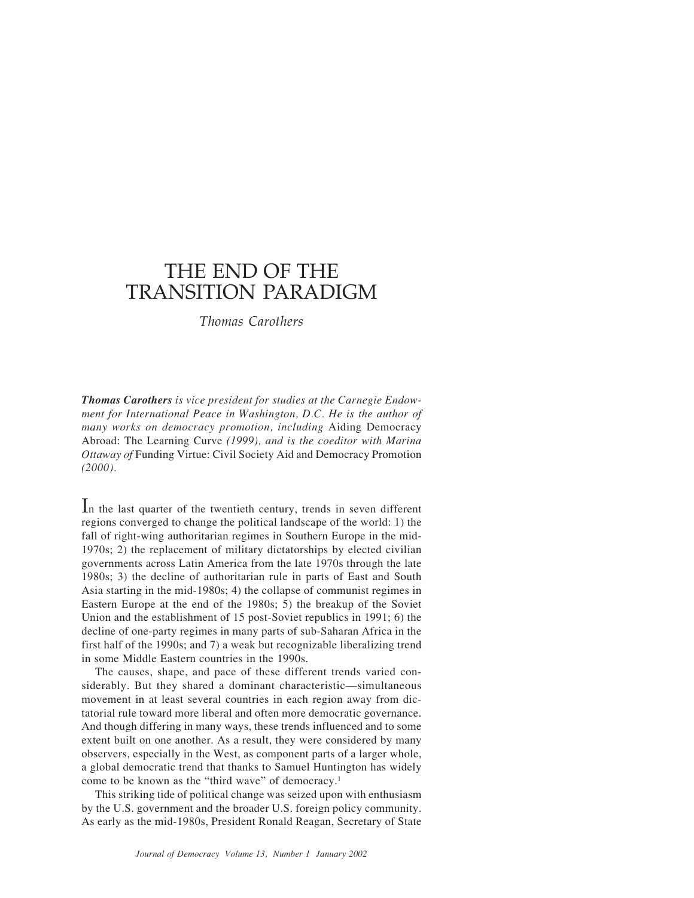# THE END OF THE TRANSITION PARADIGM

*Thomas Carothers*

*Thomas Carothers is vice president for studies at the Carnegie Endowment for International Peace in Washington, D.C. He is the author of many works on democracy promotion, including* Aiding Democracy Abroad: The Learning Curve *(1999), and is the coeditor with Marina Ottaway of* Funding Virtue: Civil Society Aid and Democracy Promotion *(2000).*

In the last quarter of the twentieth century, trends in seven different regions converged to change the political landscape of the world: 1) the fall of right-wing authoritarian regimes in Southern Europe in the mid-1970s; 2) the replacement of military dictatorships by elected civilian governments across Latin America from the late 1970s through the late 1980s; 3) the decline of authoritarian rule in parts of East and South Asia starting in the mid-1980s; 4) the collapse of communist regimes in Eastern Europe at the end of the 1980s; 5) the breakup of the Soviet Union and the establishment of 15 post-Soviet republics in 1991; 6) the decline of one-party regimes in many parts of sub-Saharan Africa in the first half of the 1990s; and 7) a weak but recognizable liberalizing trend in some Middle Eastern countries in the 1990s.

The causes, shape, and pace of these different trends varied considerably. But they shared a dominant characteristic—simultaneous movement in at least several countries in each region away from dictatorial rule toward more liberal and often more democratic governance. And though differing in many ways, these trends influenced and to some extent built on one another. As a result, they were considered by many observers, especially in the West, as component parts of a larger whole, a global democratic trend that thanks to Samuel Huntington has widely come to be known as the "third wave" of democracy.1

This striking tide of political change was seized upon with enthusiasm by the U.S. government and the broader U.S. foreign policy community. As early as the mid-1980s, President Ronald Reagan, Secretary of State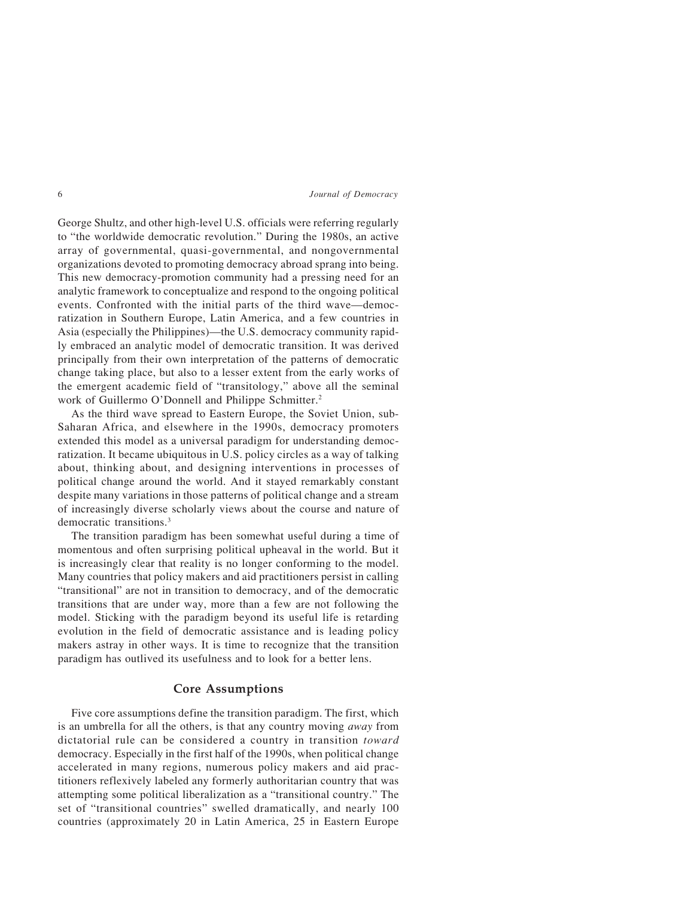George Shultz, and other high-level U.S. officials were referring regularly to "the worldwide democratic revolution." During the 1980s, an active array of governmental, quasi-governmental, and nongovernmental organizations devoted to promoting democracy abroad sprang into being. This new democracy-promotion community had a pressing need for an analytic framework to conceptualize and respond to the ongoing political events. Confronted with the initial parts of the third wave—democratization in Southern Europe, Latin America, and a few countries in Asia (especially the Philippines)—the U.S. democracy community rapidly embraced an analytic model of democratic transition. It was derived principally from their own interpretation of the patterns of democratic change taking place, but also to a lesser extent from the early works of the emergent academic field of "transitology," above all the seminal work of Guillermo O'Donnell and Philippe Schmitter.<sup>2</sup>

As the third wave spread to Eastern Europe, the Soviet Union, sub-Saharan Africa, and elsewhere in the 1990s, democracy promoters extended this model as a universal paradigm for understanding democratization. It became ubiquitous in U.S. policy circles as a way of talking about, thinking about, and designing interventions in processes of political change around the world. And it stayed remarkably constant despite many variations in those patterns of political change and a stream of increasingly diverse scholarly views about the course and nature of democratic transitions.<sup>3</sup>

The transition paradigm has been somewhat useful during a time of momentous and often surprising political upheaval in the world. But it is increasingly clear that reality is no longer conforming to the model. Many countries that policy makers and aid practitioners persist in calling "transitional" are not in transition to democracy, and of the democratic transitions that are under way, more than a few are not following the model. Sticking with the paradigm beyond its useful life is retarding evolution in the field of democratic assistance and is leading policy makers astray in other ways. It is time to recognize that the transition paradigm has outlived its usefulness and to look for a better lens.

# **Core Assumptions**

Five core assumptions define the transition paradigm. The first, which is an umbrella for all the others, is that any country moving *away* from dictatorial rule can be considered a country in transition *toward* democracy. Especially in the first half of the 1990s, when political change accelerated in many regions, numerous policy makers and aid practitioners reflexively labeled any formerly authoritarian country that was attempting some political liberalization as a "transitional country." The set of "transitional countries" swelled dramatically, and nearly 100 countries (approximately 20 in Latin America, 25 in Eastern Europe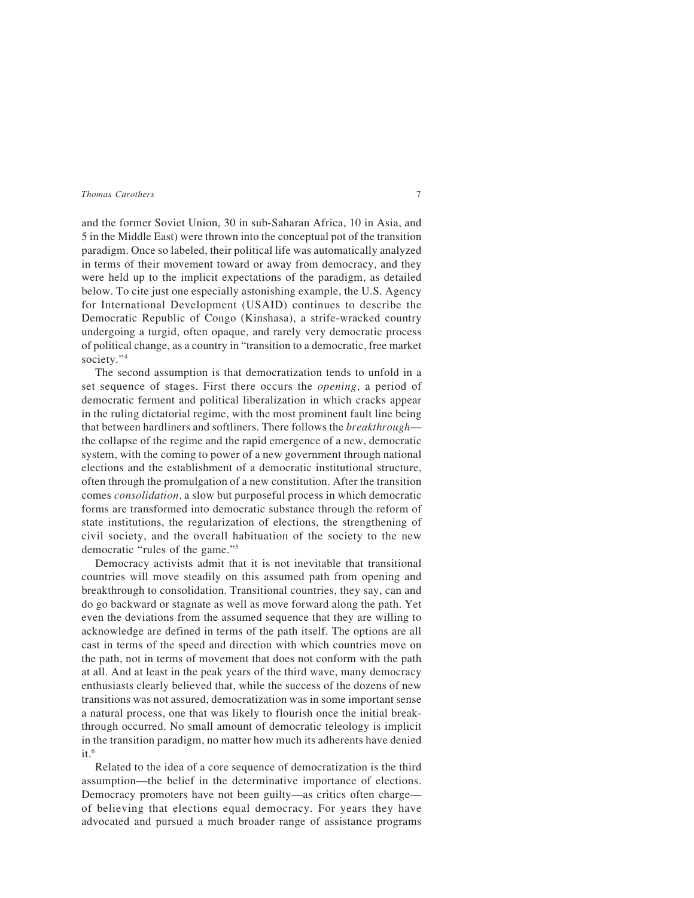and the former Soviet Union, 30 in sub-Saharan Africa, 10 in Asia, and 5 in the Middle East) were thrown into the conceptual pot of the transition paradigm. Once so labeled, their political life was automatically analyzed in terms of their movement toward or away from democracy, and they were held up to the implicit expectations of the paradigm, as detailed below. To cite just one especially astonishing example, the U.S. Agency for International Development (USAID) continues to describe the Democratic Republic of Congo (Kinshasa), a strife-wracked country undergoing a turgid, often opaque, and rarely very democratic process of political change, as a country in "transition to a democratic, free market society."4

The second assumption is that democratization tends to unfold in a set sequence of stages. First there occurs the *opening,* a period of democratic ferment and political liberalization in which cracks appear in the ruling dictatorial regime, with the most prominent fault line being that between hardliners and softliners. There follows the *breakthrough* the collapse of the regime and the rapid emergence of a new, democratic system, with the coming to power of a new government through national elections and the establishment of a democratic institutional structure, often through the promulgation of a new constitution. After the transition comes *consolidation,* a slow but purposeful process in which democratic forms are transformed into democratic substance through the reform of state institutions, the regularization of elections, the strengthening of civil society, and the overall habituation of the society to the new democratic "rules of the game."5

Democracy activists admit that it is not inevitable that transitional countries will move steadily on this assumed path from opening and breakthrough to consolidation. Transitional countries, they say, can and do go backward or stagnate as well as move forward along the path. Yet even the deviations from the assumed sequence that they are willing to acknowledge are defined in terms of the path itself. The options are all cast in terms of the speed and direction with which countries move on the path, not in terms of movement that does not conform with the path at all. And at least in the peak years of the third wave, many democracy enthusiasts clearly believed that, while the success of the dozens of new transitions was not assured, democratization was in some important sense a natural process, one that was likely to flourish once the initial breakthrough occurred. No small amount of democratic teleology is implicit in the transition paradigm, no matter how much its adherents have denied  $it.^6$ 

Related to the idea of a core sequence of democratization is the third assumption—the belief in the determinative importance of elections. Democracy promoters have not been guilty—as critics often charge of believing that elections equal democracy. For years they have advocated and pursued a much broader range of assistance programs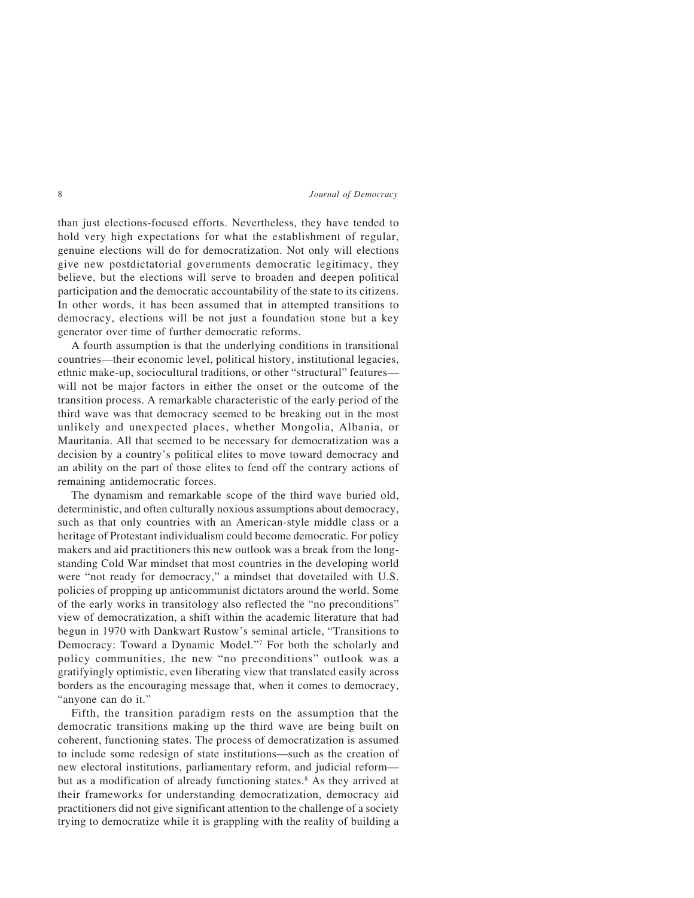than just elections-focused efforts. Nevertheless, they have tended to hold very high expectations for what the establishment of regular, genuine elections will do for democratization. Not only will elections give new postdictatorial governments democratic legitimacy, they believe, but the elections will serve to broaden and deepen political participation and the democratic accountability of the state to its citizens. In other words, it has been assumed that in attempted transitions to democracy, elections will be not just a foundation stone but a key generator over time of further democratic reforms.

A fourth assumption is that the underlying conditions in transitional countries—their economic level, political history, institutional legacies, ethnic make-up, sociocultural traditions, or other "structural" features will not be major factors in either the onset or the outcome of the transition process. A remarkable characteristic of the early period of the third wave was that democracy seemed to be breaking out in the most unlikely and unexpected places, whether Mongolia, Albania, or Mauritania. All that seemed to be necessary for democratization was a decision by a country's political elites to move toward democracy and an ability on the part of those elites to fend off the contrary actions of remaining antidemocratic forces.

The dynamism and remarkable scope of the third wave buried old, deterministic, and often culturally noxious assumptions about democracy, such as that only countries with an American-style middle class or a heritage of Protestant individualism could become democratic. For policy makers and aid practitioners this new outlook was a break from the longstanding Cold War mindset that most countries in the developing world were "not ready for democracy," a mindset that dovetailed with U.S. policies of propping up anticommunist dictators around the world. Some of the early works in transitology also reflected the "no preconditions" view of democratization, a shift within the academic literature that had begun in 1970 with Dankwart Rustow's seminal article, "Transitions to Democracy: Toward a Dynamic Model."7 For both the scholarly and policy communities, the new "no preconditions" outlook was a gratifyingly optimistic, even liberating view that translated easily across borders as the encouraging message that, when it comes to democracy, "anyone can do it."

Fifth, the transition paradigm rests on the assumption that the democratic transitions making up the third wave are being built on coherent, functioning states. The process of democratization is assumed to include some redesign of state institutions—such as the creation of new electoral institutions, parliamentary reform, and judicial reform but as a modification of already functioning states.<sup>8</sup> As they arrived at their frameworks for understanding democratization, democracy aid practitioners did not give significant attention to the challenge of a society trying to democratize while it is grappling with the reality of building a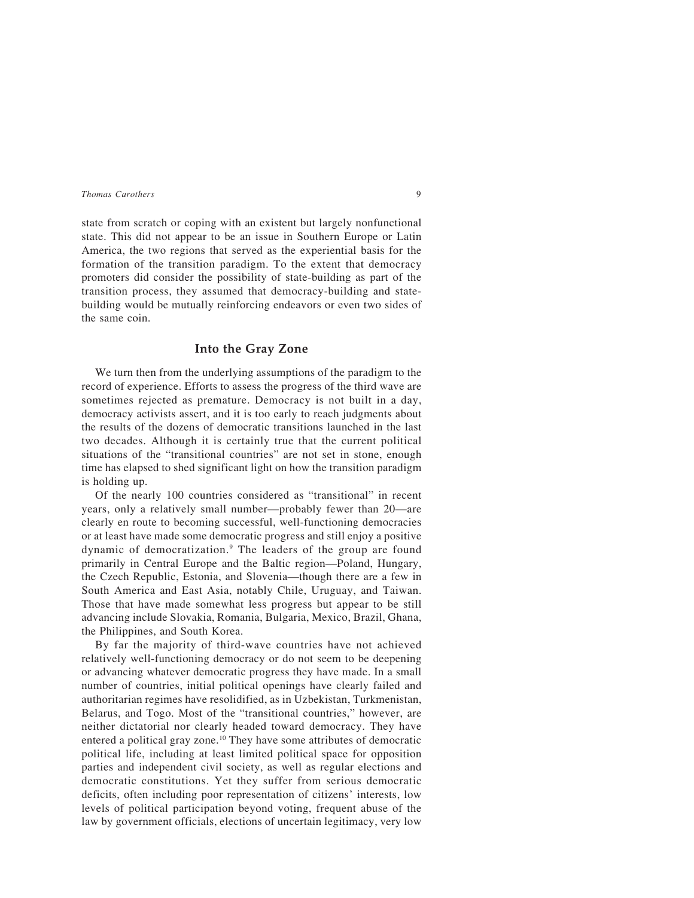state from scratch or coping with an existent but largely nonfunctional state. This did not appear to be an issue in Southern Europe or Latin America, the two regions that served as the experiential basis for the formation of the transition paradigm. To the extent that democracy promoters did consider the possibility of state-building as part of the transition process, they assumed that democracy-building and statebuilding would be mutually reinforcing endeavors or even two sides of the same coin.

# **Into the Gray Zone**

We turn then from the underlying assumptions of the paradigm to the record of experience. Efforts to assess the progress of the third wave are sometimes rejected as premature. Democracy is not built in a day, democracy activists assert, and it is too early to reach judgments about the results of the dozens of democratic transitions launched in the last two decades. Although it is certainly true that the current political situations of the "transitional countries" are not set in stone, enough time has elapsed to shed significant light on how the transition paradigm is holding up.

Of the nearly 100 countries considered as "transitional" in recent years, only a relatively small number—probably fewer than 20—are clearly en route to becoming successful, well-functioning democracies or at least have made some democratic progress and still enjoy a positive dynamic of democratization.<sup>9</sup> The leaders of the group are found primarily in Central Europe and the Baltic region—Poland, Hungary, the Czech Republic, Estonia, and Slovenia—though there are a few in South America and East Asia, notably Chile, Uruguay, and Taiwan. Those that have made somewhat less progress but appear to be still advancing include Slovakia, Romania, Bulgaria, Mexico, Brazil, Ghana, the Philippines, and South Korea.

By far the majority of third-wave countries have not achieved relatively well-functioning democracy or do not seem to be deepening or advancing whatever democratic progress they have made. In a small number of countries, initial political openings have clearly failed and authoritarian regimes have resolidified, as in Uzbekistan, Turkmenistan, Belarus, and Togo. Most of the "transitional countries," however, are neither dictatorial nor clearly headed toward democracy. They have entered a political gray zone.<sup>10</sup> They have some attributes of democratic political life, including at least limited political space for opposition parties and independent civil society, as well as regular elections and democratic constitutions. Yet they suffer from serious democratic deficits, often including poor representation of citizens' interests, low levels of political participation beyond voting, frequent abuse of the law by government officials, elections of uncertain legitimacy, very low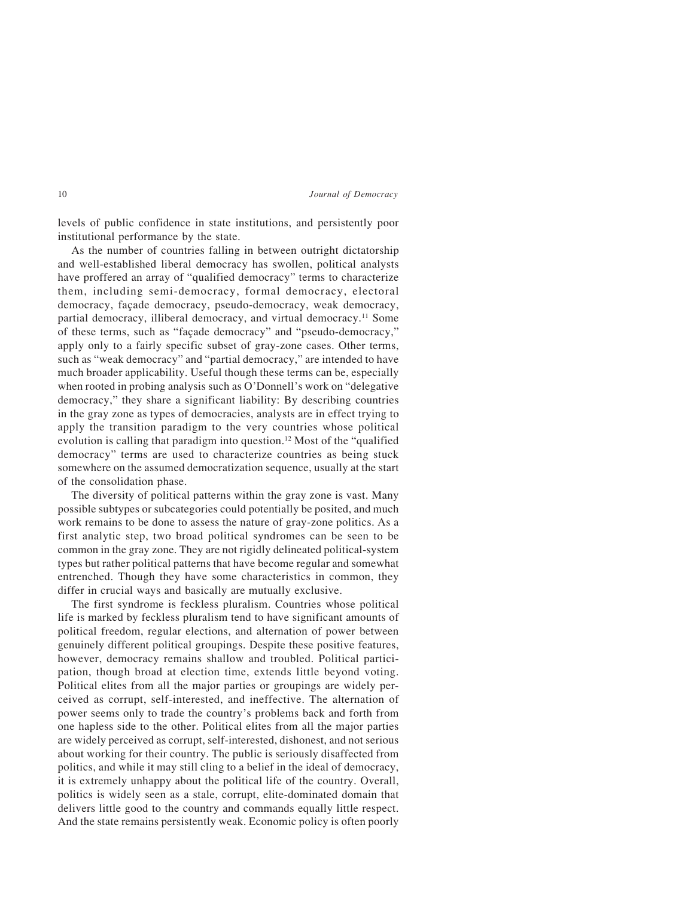levels of public confidence in state institutions, and persistently poor institutional performance by the state.

As the number of countries falling in between outright dictatorship and well-established liberal democracy has swollen, political analysts have proffered an array of "qualified democracy" terms to characterize them, including semi-democracy, formal democracy, electoral democracy, façade democracy, pseudo-democracy, weak democracy, partial democracy, illiberal democracy, and virtual democracy.<sup>11</sup> Some of these terms, such as "façade democracy" and "pseudo-democracy," apply only to a fairly specific subset of gray-zone cases. Other terms, such as "weak democracy" and "partial democracy," are intended to have much broader applicability. Useful though these terms can be, especially when rooted in probing analysis such as O'Donnell's work on "delegative democracy," they share a significant liability: By describing countries in the gray zone as types of democracies, analysts are in effect trying to apply the transition paradigm to the very countries whose political evolution is calling that paradigm into question.<sup>12</sup> Most of the "qualified democracy" terms are used to characterize countries as being stuck somewhere on the assumed democratization sequence, usually at the start of the consolidation phase.

The diversity of political patterns within the gray zone is vast. Many possible subtypes or subcategories could potentially be posited, and much work remains to be done to assess the nature of gray-zone politics. As a first analytic step, two broad political syndromes can be seen to be common in the gray zone. They are not rigidly delineated political-system types but rather political patterns that have become regular and somewhat entrenched. Though they have some characteristics in common, they differ in crucial ways and basically are mutually exclusive.

The first syndrome is feckless pluralism. Countries whose political life is marked by feckless pluralism tend to have significant amounts of political freedom, regular elections, and alternation of power between genuinely different political groupings. Despite these positive features, however, democracy remains shallow and troubled. Political participation, though broad at election time, extends little beyond voting. Political elites from all the major parties or groupings are widely perceived as corrupt, self-interested, and ineffective. The alternation of power seems only to trade the country's problems back and forth from one hapless side to the other. Political elites from all the major parties are widely perceived as corrupt, self-interested, dishonest, and not serious about working for their country. The public is seriously disaffected from politics, and while it may still cling to a belief in the ideal of democracy, it is extremely unhappy about the political life of the country. Overall, politics is widely seen as a stale, corrupt, elite-dominated domain that delivers little good to the country and commands equally little respect. And the state remains persistently weak. Economic policy is often poorly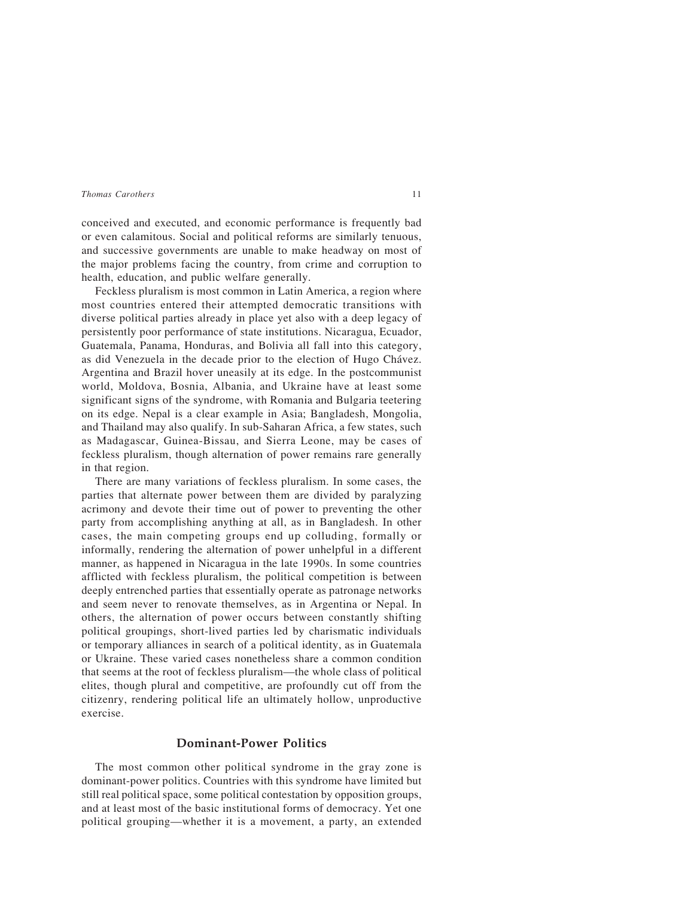conceived and executed, and economic performance is frequently bad or even calamitous. Social and political reforms are similarly tenuous, and successive governments are unable to make headway on most of the major problems facing the country, from crime and corruption to health, education, and public welfare generally.

Feckless pluralism is most common in Latin America, a region where most countries entered their attempted democratic transitions with diverse political parties already in place yet also with a deep legacy of persistently poor performance of state institutions. Nicaragua, Ecuador, Guatemala, Panama, Honduras, and Bolivia all fall into this category, as did Venezuela in the decade prior to the election of Hugo Chávez. Argentina and Brazil hover uneasily at its edge. In the postcommunist world, Moldova, Bosnia, Albania, and Ukraine have at least some significant signs of the syndrome, with Romania and Bulgaria teetering on its edge. Nepal is a clear example in Asia; Bangladesh, Mongolia, and Thailand may also qualify. In sub-Saharan Africa, a few states, such as Madagascar, Guinea-Bissau, and Sierra Leone, may be cases of feckless pluralism, though alternation of power remains rare generally in that region.

There are many variations of feckless pluralism. In some cases, the parties that alternate power between them are divided by paralyzing acrimony and devote their time out of power to preventing the other party from accomplishing anything at all, as in Bangladesh. In other cases, the main competing groups end up colluding, formally or informally, rendering the alternation of power unhelpful in a different manner, as happened in Nicaragua in the late 1990s. In some countries afflicted with feckless pluralism, the political competition is between deeply entrenched parties that essentially operate as patronage networks and seem never to renovate themselves, as in Argentina or Nepal. In others, the alternation of power occurs between constantly shifting political groupings, short-lived parties led by charismatic individuals or temporary alliances in search of a political identity, as in Guatemala or Ukraine. These varied cases nonetheless share a common condition that seems at the root of feckless pluralism—the whole class of political elites, though plural and competitive, are profoundly cut off from the citizenry, rendering political life an ultimately hollow, unproductive exercise.

# **Dominant-Power Politics**

The most common other political syndrome in the gray zone is dominant-power politics. Countries with this syndrome have limited but still real political space, some political contestation by opposition groups, and at least most of the basic institutional forms of democracy. Yet one political grouping—whether it is a movement, a party, an extended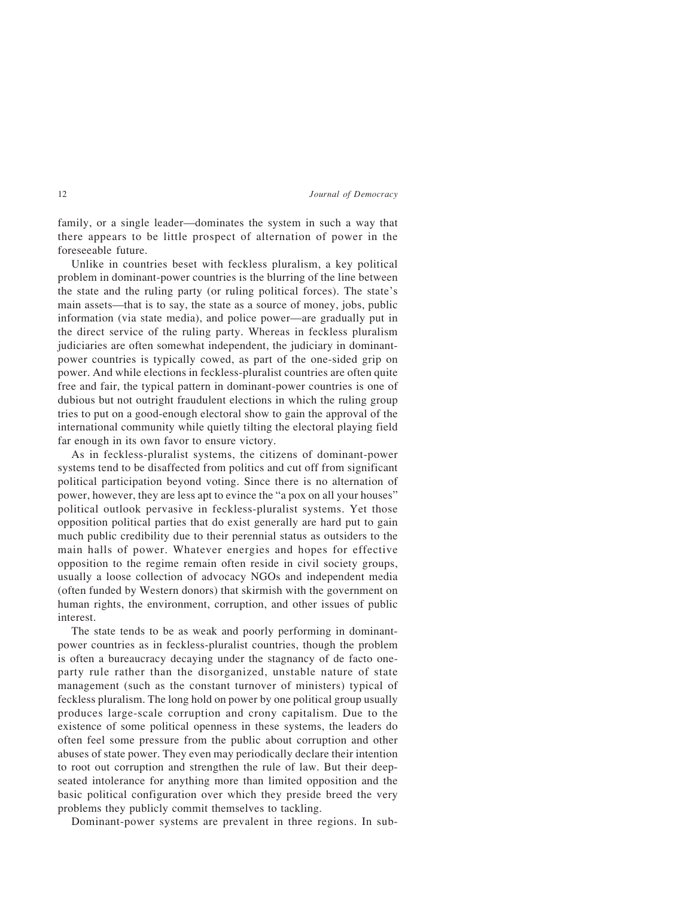family, or a single leader—dominates the system in such a way that there appears to be little prospect of alternation of power in the foreseeable future.

Unlike in countries beset with feckless pluralism, a key political problem in dominant-power countries is the blurring of the line between the state and the ruling party (or ruling political forces). The state's main assets—that is to say, the state as a source of money, jobs, public information (via state media), and police power—are gradually put in the direct service of the ruling party. Whereas in feckless pluralism judiciaries are often somewhat independent, the judiciary in dominantpower countries is typically cowed, as part of the one-sided grip on power. And while elections in feckless-pluralist countries are often quite free and fair, the typical pattern in dominant-power countries is one of dubious but not outright fraudulent elections in which the ruling group tries to put on a good-enough electoral show to gain the approval of the international community while quietly tilting the electoral playing field far enough in its own favor to ensure victory.

As in feckless-pluralist systems, the citizens of dominant-power systems tend to be disaffected from politics and cut off from significant political participation beyond voting. Since there is no alternation of power, however, they are less apt to evince the "a pox on all your houses" political outlook pervasive in feckless-pluralist systems. Yet those opposition political parties that do exist generally are hard put to gain much public credibility due to their perennial status as outsiders to the main halls of power. Whatever energies and hopes for effective opposition to the regime remain often reside in civil society groups, usually a loose collection of advocacy NGOs and independent media (often funded by Western donors) that skirmish with the government on human rights, the environment, corruption, and other issues of public interest.

The state tends to be as weak and poorly performing in dominantpower countries as in feckless-pluralist countries, though the problem is often a bureaucracy decaying under the stagnancy of de facto oneparty rule rather than the disorganized, unstable nature of state management (such as the constant turnover of ministers) typical of feckless pluralism. The long hold on power by one political group usually produces large-scale corruption and crony capitalism. Due to the existence of some political openness in these systems, the leaders do often feel some pressure from the public about corruption and other abuses of state power. They even may periodically declare their intention to root out corruption and strengthen the rule of law. But their deepseated intolerance for anything more than limited opposition and the basic political configuration over which they preside breed the very problems they publicly commit themselves to tackling.

Dominant-power systems are prevalent in three regions. In sub-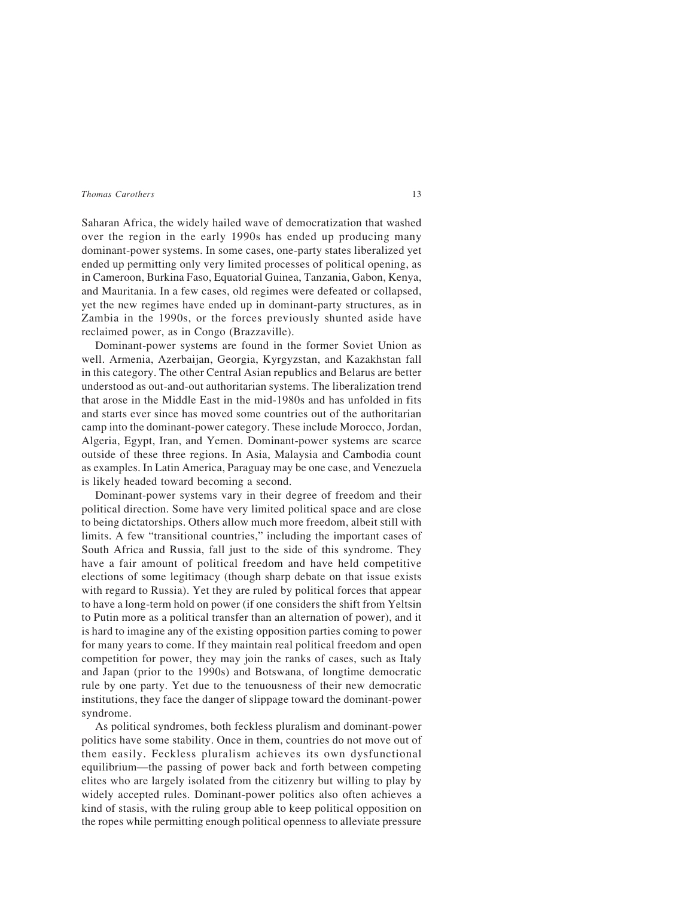Saharan Africa, the widely hailed wave of democratization that washed over the region in the early 1990s has ended up producing many dominant-power systems. In some cases, one-party states liberalized yet ended up permitting only very limited processes of political opening, as in Cameroon, Burkina Faso, Equatorial Guinea, Tanzania, Gabon, Kenya, and Mauritania. In a few cases, old regimes were defeated or collapsed, yet the new regimes have ended up in dominant-party structures, as in Zambia in the 1990s, or the forces previously shunted aside have reclaimed power, as in Congo (Brazzaville).

Dominant-power systems are found in the former Soviet Union as well. Armenia, Azerbaijan, Georgia, Kyrgyzstan, and Kazakhstan fall in this category. The other Central Asian republics and Belarus are better understood as out-and-out authoritarian systems. The liberalization trend that arose in the Middle East in the mid-1980s and has unfolded in fits and starts ever since has moved some countries out of the authoritarian camp into the dominant-power category. These include Morocco, Jordan, Algeria, Egypt, Iran, and Yemen. Dominant-power systems are scarce outside of these three regions. In Asia, Malaysia and Cambodia count as examples. In Latin America, Paraguay may be one case, and Venezuela is likely headed toward becoming a second.

Dominant-power systems vary in their degree of freedom and their political direction. Some have very limited political space and are close to being dictatorships. Others allow much more freedom, albeit still with limits. A few "transitional countries," including the important cases of South Africa and Russia, fall just to the side of this syndrome. They have a fair amount of political freedom and have held competitive elections of some legitimacy (though sharp debate on that issue exists with regard to Russia). Yet they are ruled by political forces that appear to have a long-term hold on power (if one considers the shift from Yeltsin to Putin more as a political transfer than an alternation of power), and it is hard to imagine any of the existing opposition parties coming to power for many years to come. If they maintain real political freedom and open competition for power, they may join the ranks of cases, such as Italy and Japan (prior to the 1990s) and Botswana, of longtime democratic rule by one party. Yet due to the tenuousness of their new democratic institutions, they face the danger of slippage toward the dominant-power syndrome.

As political syndromes, both feckless pluralism and dominant-power politics have some stability. Once in them, countries do not move out of them easily. Feckless pluralism achieves its own dysfunctional equilibrium—the passing of power back and forth between competing elites who are largely isolated from the citizenry but willing to play by widely accepted rules. Dominant-power politics also often achieves a kind of stasis, with the ruling group able to keep political opposition on the ropes while permitting enough political openness to alleviate pressure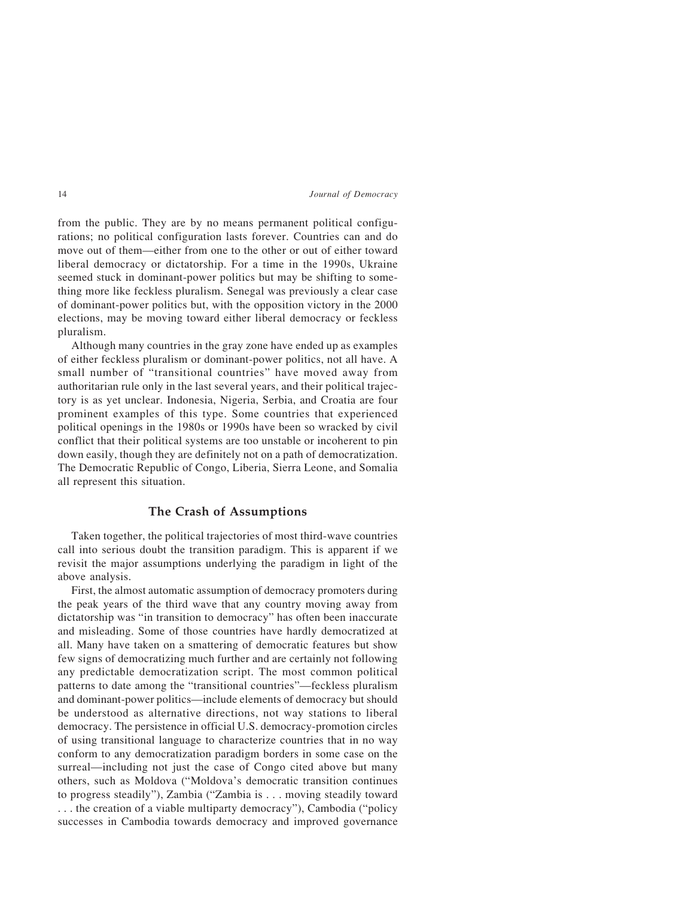from the public. They are by no means permanent political configurations; no political configuration lasts forever. Countries can and do move out of them—either from one to the other or out of either toward liberal democracy or dictatorship. For a time in the 1990s, Ukraine seemed stuck in dominant-power politics but may be shifting to something more like feckless pluralism. Senegal was previously a clear case of dominant-power politics but, with the opposition victory in the 2000 elections, may be moving toward either liberal democracy or feckless pluralism.

Although many countries in the gray zone have ended up as examples of either feckless pluralism or dominant-power politics, not all have. A small number of "transitional countries" have moved away from authoritarian rule only in the last several years, and their political trajectory is as yet unclear. Indonesia, Nigeria, Serbia, and Croatia are four prominent examples of this type. Some countries that experienced political openings in the 1980s or 1990s have been so wracked by civil conflict that their political systems are too unstable or incoherent to pin down easily, though they are definitely not on a path of democratization. The Democratic Republic of Congo, Liberia, Sierra Leone, and Somalia all represent this situation.

# **The Crash of Assumptions**

Taken together, the political trajectories of most third-wave countries call into serious doubt the transition paradigm. This is apparent if we revisit the major assumptions underlying the paradigm in light of the above analysis.

First, the almost automatic assumption of democracy promoters during the peak years of the third wave that any country moving away from dictatorship was "in transition to democracy" has often been inaccurate and misleading. Some of those countries have hardly democratized at all. Many have taken on a smattering of democratic features but show few signs of democratizing much further and are certainly not following any predictable democratization script. The most common political patterns to date among the "transitional countries"—feckless pluralism and dominant-power politics—include elements of democracy but should be understood as alternative directions, not way stations to liberal democracy. The persistence in official U.S. democracy-promotion circles of using transitional language to characterize countries that in no way conform to any democratization paradigm borders in some case on the surreal—including not just the case of Congo cited above but many others, such as Moldova ("Moldova's democratic transition continues to progress steadily"), Zambia ("Zambia is . . . moving steadily toward . . . the creation of a viable multiparty democracy"), Cambodia ("policy successes in Cambodia towards democracy and improved governance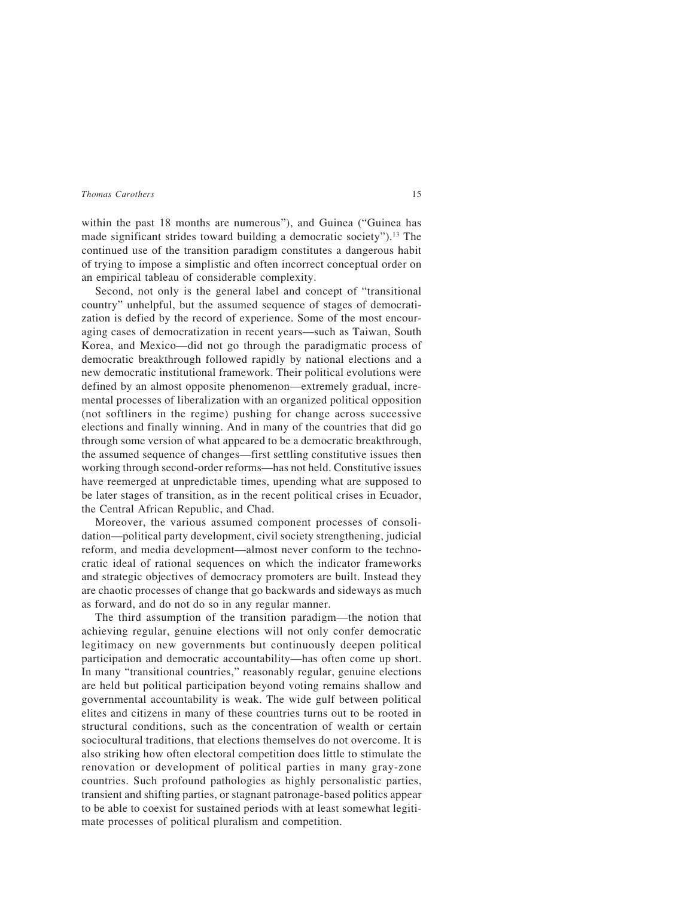within the past 18 months are numerous"), and Guinea ("Guinea has made significant strides toward building a democratic society").<sup>13</sup> The continued use of the transition paradigm constitutes a dangerous habit of trying to impose a simplistic and often incorrect conceptual order on an empirical tableau of considerable complexity.

Second, not only is the general label and concept of "transitional country" unhelpful, but the assumed sequence of stages of democratization is defied by the record of experience. Some of the most encouraging cases of democratization in recent years—such as Taiwan, South Korea, and Mexico—did not go through the paradigmatic process of democratic breakthrough followed rapidly by national elections and a new democratic institutional framework. Their political evolutions were defined by an almost opposite phenomenon—extremely gradual, incremental processes of liberalization with an organized political opposition (not softliners in the regime) pushing for change across successive elections and finally winning. And in many of the countries that did go through some version of what appeared to be a democratic breakthrough, the assumed sequence of changes—first settling constitutive issues then working through second-order reforms—has not held. Constitutive issues have reemerged at unpredictable times, upending what are supposed to be later stages of transition, as in the recent political crises in Ecuador, the Central African Republic, and Chad.

Moreover, the various assumed component processes of consolidation—political party development, civil society strengthening, judicial reform, and media development—almost never conform to the technocratic ideal of rational sequences on which the indicator frameworks and strategic objectives of democracy promoters are built. Instead they are chaotic processes of change that go backwards and sideways as much as forward, and do not do so in any regular manner.

The third assumption of the transition paradigm—the notion that achieving regular, genuine elections will not only confer democratic legitimacy on new governments but continuously deepen political participation and democratic accountability—has often come up short. In many "transitional countries," reasonably regular, genuine elections are held but political participation beyond voting remains shallow and governmental accountability is weak. The wide gulf between political elites and citizens in many of these countries turns out to be rooted in structural conditions, such as the concentration of wealth or certain sociocultural traditions, that elections themselves do not overcome. It is also striking how often electoral competition does little to stimulate the renovation or development of political parties in many gray-zone countries. Such profound pathologies as highly personalistic parties, transient and shifting parties, or stagnant patronage-based politics appear to be able to coexist for sustained periods with at least somewhat legitimate processes of political pluralism and competition.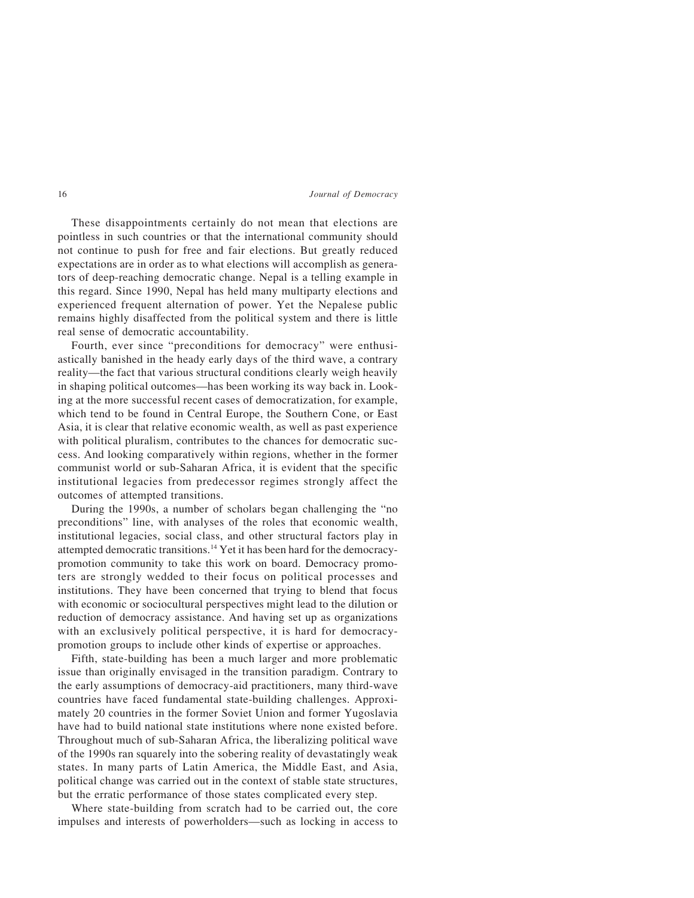These disappointments certainly do not mean that elections are pointless in such countries or that the international community should not continue to push for free and fair elections. But greatly reduced expectations are in order as to what elections will accomplish as generators of deep-reaching democratic change. Nepal is a telling example in this regard. Since 1990, Nepal has held many multiparty elections and experienced frequent alternation of power. Yet the Nepalese public remains highly disaffected from the political system and there is little real sense of democratic accountability.

Fourth, ever since "preconditions for democracy" were enthusiastically banished in the heady early days of the third wave, a contrary reality—the fact that various structural conditions clearly weigh heavily in shaping political outcomes—has been working its way back in. Looking at the more successful recent cases of democratization, for example, which tend to be found in Central Europe, the Southern Cone, or East Asia, it is clear that relative economic wealth, as well as past experience with political pluralism, contributes to the chances for democratic success. And looking comparatively within regions, whether in the former communist world or sub-Saharan Africa, it is evident that the specific institutional legacies from predecessor regimes strongly affect the outcomes of attempted transitions.

During the 1990s, a number of scholars began challenging the "no preconditions" line, with analyses of the roles that economic wealth, institutional legacies, social class, and other structural factors play in attempted democratic transitions.<sup>14</sup> Yet it has been hard for the democracypromotion community to take this work on board. Democracy promoters are strongly wedded to their focus on political processes and institutions. They have been concerned that trying to blend that focus with economic or sociocultural perspectives might lead to the dilution or reduction of democracy assistance. And having set up as organizations with an exclusively political perspective, it is hard for democracypromotion groups to include other kinds of expertise or approaches.

Fifth, state-building has been a much larger and more problematic issue than originally envisaged in the transition paradigm. Contrary to the early assumptions of democracy-aid practitioners, many third-wave countries have faced fundamental state-building challenges. Approximately 20 countries in the former Soviet Union and former Yugoslavia have had to build national state institutions where none existed before. Throughout much of sub-Saharan Africa, the liberalizing political wave of the 1990s ran squarely into the sobering reality of devastatingly weak states. In many parts of Latin America, the Middle East, and Asia, political change was carried out in the context of stable state structures, but the erratic performance of those states complicated every step.

Where state-building from scratch had to be carried out, the core impulses and interests of powerholders—such as locking in access to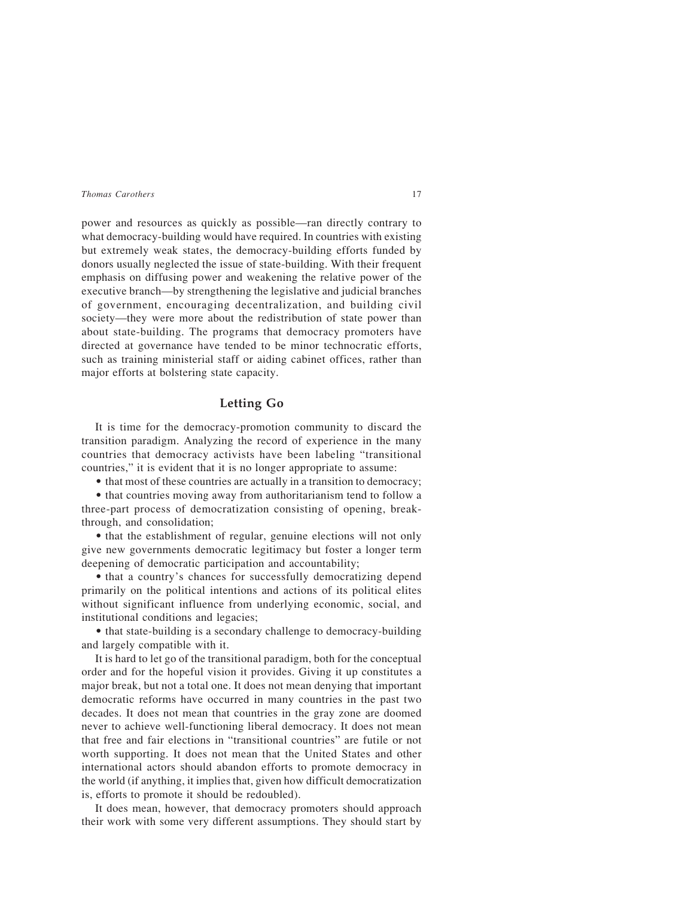power and resources as quickly as possible—ran directly contrary to what democracy-building would have required. In countries with existing but extremely weak states, the democracy-building efforts funded by donors usually neglected the issue of state-building. With their frequent emphasis on diffusing power and weakening the relative power of the executive branch—by strengthening the legislative and judicial branches of government, encouraging decentralization, and building civil society—they were more about the redistribution of state power than about state-building. The programs that democracy promoters have directed at governance have tended to be minor technocratic efforts, such as training ministerial staff or aiding cabinet offices, rather than major efforts at bolstering state capacity.

# **Letting Go**

It is time for the democracy-promotion community to discard the transition paradigm. Analyzing the record of experience in the many countries that democracy activists have been labeling "transitional countries," it is evident that it is no longer appropriate to assume:

• that most of these countries are actually in a transition to democracy;

• that countries moving away from authoritarianism tend to follow a three-part process of democratization consisting of opening, breakthrough, and consolidation;

• that the establishment of regular, genuine elections will not only give new governments democratic legitimacy but foster a longer term deepening of democratic participation and accountability;

• that a country's chances for successfully democratizing depend primarily on the political intentions and actions of its political elites without significant influence from underlying economic, social, and institutional conditions and legacies;

• that state-building is a secondary challenge to democracy-building and largely compatible with it.

It is hard to let go of the transitional paradigm, both for the conceptual order and for the hopeful vision it provides. Giving it up constitutes a major break, but not a total one. It does not mean denying that important democratic reforms have occurred in many countries in the past two decades. It does not mean that countries in the gray zone are doomed never to achieve well-functioning liberal democracy. It does not mean that free and fair elections in "transitional countries" are futile or not worth supporting. It does not mean that the United States and other international actors should abandon efforts to promote democracy in the world (if anything, it implies that, given how difficult democratization is, efforts to promote it should be redoubled).

It does mean, however, that democracy promoters should approach their work with some very different assumptions. They should start by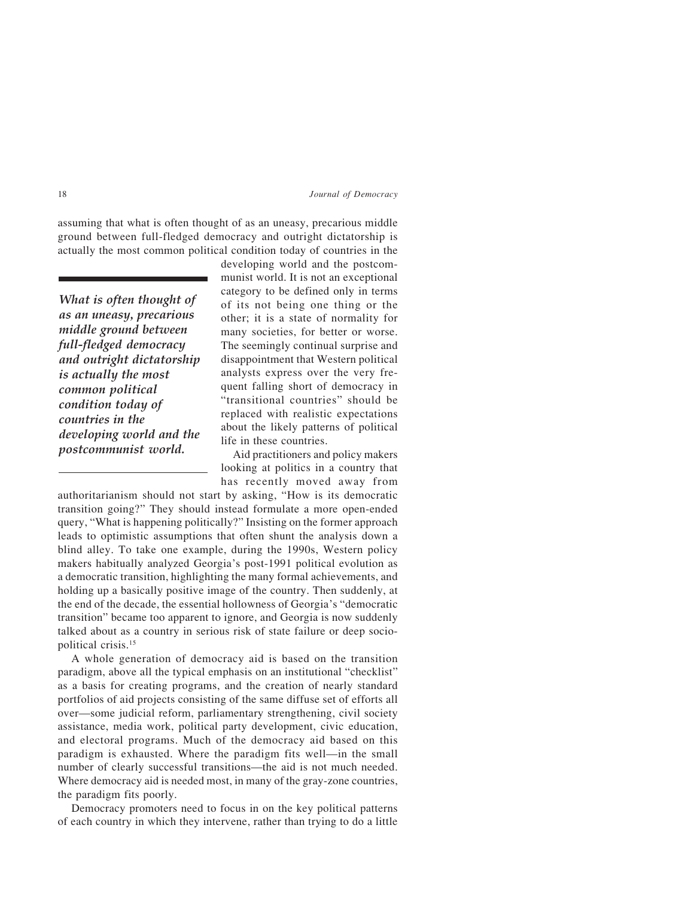assuming that what is often thought of as an uneasy, precarious middle ground between full-fledged democracy and outright dictatorship is actually the most common political condition today of countries in the

*What is often thought of as an uneasy, precarious middle ground between full-fledged democracy and outright dictatorship is actually the most common political condition today of countries in the developing world and the postcommunist world.*

developing world and the postcommunist world. It is not an exceptional category to be defined only in terms of its not being one thing or the other; it is a state of normality for many societies, for better or worse. The seemingly continual surprise and disappointment that Western political analysts express over the very frequent falling short of democracy in "transitional countries" should be replaced with realistic expectations about the likely patterns of political life in these countries.

Aid practitioners and policy makers looking at politics in a country that has recently moved away from

authoritarianism should not start by asking, "How is its democratic transition going?" They should instead formulate a more open-ended query, "What is happening politically?" Insisting on the former approach leads to optimistic assumptions that often shunt the analysis down a blind alley. To take one example, during the 1990s, Western policy makers habitually analyzed Georgia's post-1991 political evolution as a democratic transition, highlighting the many formal achievements, and holding up a basically positive image of the country. Then suddenly, at the end of the decade, the essential hollowness of Georgia's "democratic transition" became too apparent to ignore, and Georgia is now suddenly talked about as a country in serious risk of state failure or deep sociopolitical crisis.15

A whole generation of democracy aid is based on the transition paradigm, above all the typical emphasis on an institutional "checklist" as a basis for creating programs, and the creation of nearly standard portfolios of aid projects consisting of the same diffuse set of efforts all over—some judicial reform, parliamentary strengthening, civil society assistance, media work, political party development, civic education, and electoral programs. Much of the democracy aid based on this paradigm is exhausted. Where the paradigm fits well—in the small number of clearly successful transitions—the aid is not much needed. Where democracy aid is needed most, in many of the gray-zone countries, the paradigm fits poorly.

Democracy promoters need to focus in on the key political patterns of each country in which they intervene, rather than trying to do a little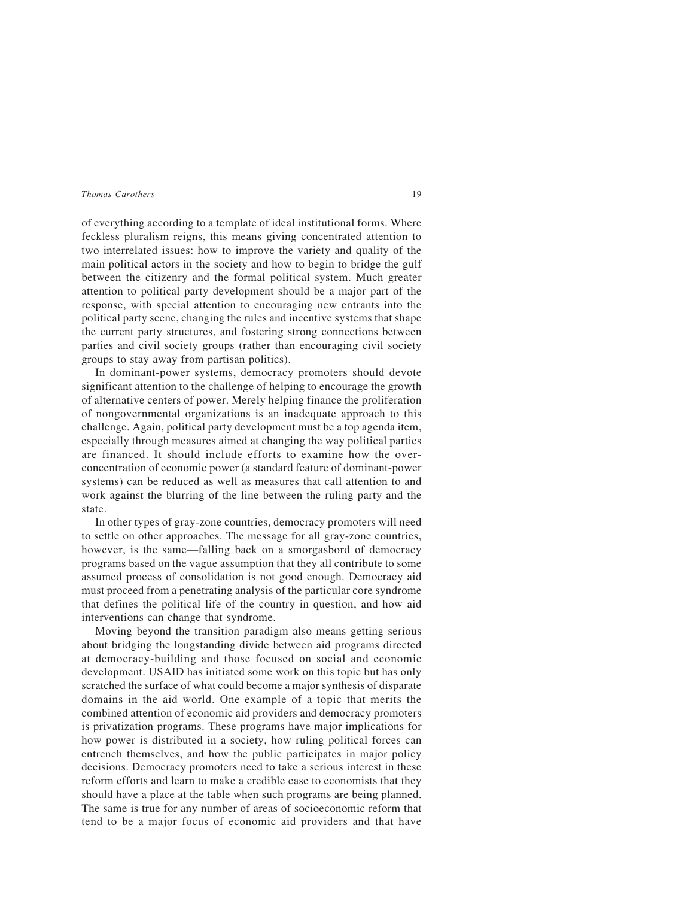of everything according to a template of ideal institutional forms. Where feckless pluralism reigns, this means giving concentrated attention to two interrelated issues: how to improve the variety and quality of the main political actors in the society and how to begin to bridge the gulf between the citizenry and the formal political system. Much greater attention to political party development should be a major part of the response, with special attention to encouraging new entrants into the political party scene, changing the rules and incentive systems that shape the current party structures, and fostering strong connections between parties and civil society groups (rather than encouraging civil society groups to stay away from partisan politics).

In dominant-power systems, democracy promoters should devote significant attention to the challenge of helping to encourage the growth of alternative centers of power. Merely helping finance the proliferation of nongovernmental organizations is an inadequate approach to this challenge. Again, political party development must be a top agenda item, especially through measures aimed at changing the way political parties are financed. It should include efforts to examine how the overconcentration of economic power (a standard feature of dominant-power systems) can be reduced as well as measures that call attention to and work against the blurring of the line between the ruling party and the state.

In other types of gray-zone countries, democracy promoters will need to settle on other approaches. The message for all gray-zone countries, however, is the same—falling back on a smorgasbord of democracy programs based on the vague assumption that they all contribute to some assumed process of consolidation is not good enough. Democracy aid must proceed from a penetrating analysis of the particular core syndrome that defines the political life of the country in question, and how aid interventions can change that syndrome.

Moving beyond the transition paradigm also means getting serious about bridging the longstanding divide between aid programs directed at democracy-building and those focused on social and economic development. USAID has initiated some work on this topic but has only scratched the surface of what could become a major synthesis of disparate domains in the aid world. One example of a topic that merits the combined attention of economic aid providers and democracy promoters is privatization programs. These programs have major implications for how power is distributed in a society, how ruling political forces can entrench themselves, and how the public participates in major policy decisions. Democracy promoters need to take a serious interest in these reform efforts and learn to make a credible case to economists that they should have a place at the table when such programs are being planned. The same is true for any number of areas of socioeconomic reform that tend to be a major focus of economic aid providers and that have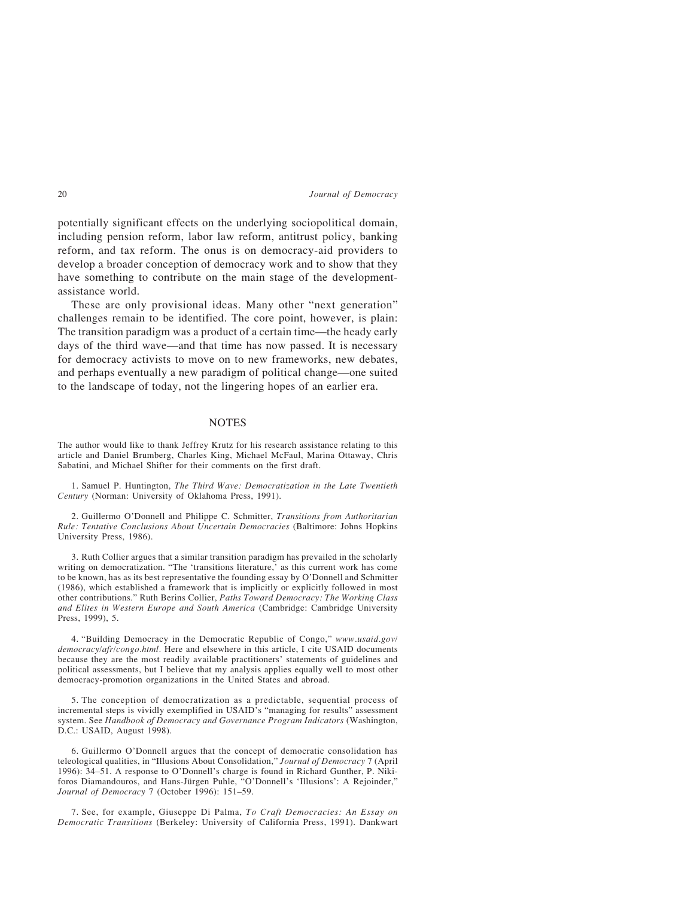potentially significant effects on the underlying sociopolitical domain, including pension reform, labor law reform, antitrust policy, banking reform, and tax reform. The onus is on democracy-aid providers to develop a broader conception of democracy work and to show that they have something to contribute on the main stage of the developmentassistance world.

These are only provisional ideas. Many other "next generation" challenges remain to be identified. The core point, however, is plain: The transition paradigm was a product of a certain time—the heady early days of the third wave—and that time has now passed. It is necessary for democracy activists to move on to new frameworks, new debates, and perhaps eventually a new paradigm of political change—one suited to the landscape of today, not the lingering hopes of an earlier era.

# **NOTES**

The author would like to thank Jeffrey Krutz for his research assistance relating to this article and Daniel Brumberg, Charles King, Michael McFaul, Marina Ottaway, Chris Sabatini, and Michael Shifter for their comments on the first draft.

1. Samuel P. Huntington, *The Third Wave: Democratization in the Late Twentieth Century* (Norman: University of Oklahoma Press, 1991).

2. Guillermo O'Donnell and Philippe C. Schmitter, *Transitions from Authoritarian Rule: Tentative Conclusions About Uncertain Democracies* (Baltimore: Johns Hopkins University Press, 1986).

3. Ruth Collier argues that a similar transition paradigm has prevailed in the scholarly writing on democratization. "The 'transitions literature,' as this current work has come to be known, has as its best representative the founding essay by O'Donnell and Schmitter (1986), which established a framework that is implicitly or explicitly followed in most other contributions." Ruth Berins Collier, *Paths Toward Democracy: The Working Class and Elites in Western Europe and South America* (Cambridge: Cambridge University Press, 1999), 5.

4. "Building Democracy in the Democratic Republic of Congo," *www.usaid.gov/ democracy/afr/congo.html.* Here and elsewhere in this article, I cite USAID documents because they are the most readily available practitioners' statements of guidelines and political assessments, but I believe that my analysis applies equally well to most other democracy-promotion organizations in the United States and abroad.

5. The conception of democratization as a predictable, sequential process of incremental steps is vividly exemplified in USAID's "managing for results" assessment system. See *Handbook of Democracy and Governance Program Indicators* (Washington, D.C.: USAID, August 1998).

6. Guillermo O'Donnell argues that the concept of democratic consolidation has teleological qualities, in "Illusions About Consolidation," *Journal of Democracy* 7 (April 1996): 34–51. A response to O'Donnell's charge is found in Richard Gunther, P. Nikiforos Diamandouros, and Hans-Jürgen Puhle, "O'Donnell's 'Illusions': A Rejoinder," *Journal of Democracy* 7 (October 1996): 151–59.

7. See, for example, Giuseppe Di Palma, *To Craft Democracies: An Essay on Democratic Transitions* (Berkeley: University of California Press, 1991). Dankwart